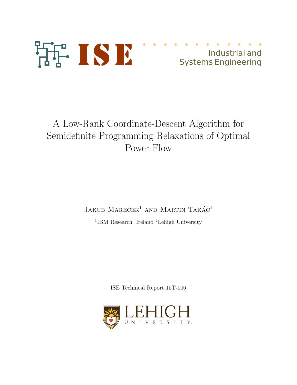

## Industrial and Systems Engineering

# A Low-Rank Coordinate-Descent Algorithm for Semidefinite Programming Relaxations of Optimal Power Flow

### $J$ akub Mareček<sup>1</sup> and Martin Takáč<sup>1</sup>

<sup>1</sup>IBM Research Ireland <sup>2</sup>Lehigh University

ISE Technical Report 15T-006

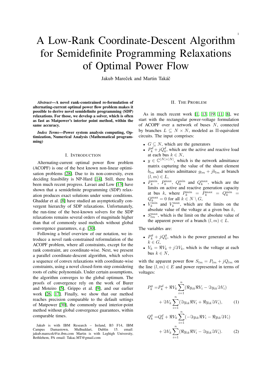# A Low-Rank Coordinate-Descent Algorithm for Semidefinite Programming Relaxations of Optimal Power Flow

Jakub Mareček and Martin Takáč

*Abstract*—A novel rank-constrained re-formulation of alternating-current optimal power flow problem makes it possible to derive novel semidefinite programming (SDP) relaxations. For those, we develop a solver, which is often as fast as Matpower's interior point method, within the same accuracy.

*Index Terms*—Power system analysis computing, Optimization, Numerical Analysis (Mathematical programming)

#### I. INTRODUCTION

Alternating-current optimal power flow problem (ACOPF) is one of the best known non-linear optimisation problems [28]. Due to its non-convexity, even deciding feasibility is NP-Hard [14]. Still, there has been much recent progress. Lavaei and Low [13] have shown that a semidefinite programming (SDP) relaxation produces exact solutions under some conditions. Ghaddar et al. [8] have studied an asymptotically convergent hierarchy of SDP relaxations. Unfortunately, the run-time of the best-known solvers for the SDP relaxations remains several orders of magnitude higher than that of commonly used methods without global convergence guarantees, e.g. [30].

Following a brief overview of our notation, we introduce a novel rank-constrained reformulation of the ACOPF problem, where all constraints, except for the rank constraint, are coordinate-wise. Next, we present a parallel coordinate-descent algorithm, which solves a sequence of convex relaxations with coordinate-wise constraints, using a novel closed-form step considering roots of cubic polynomials. Under certain assumptions, the algorithm converges to the global optimum. The proofs of convergence rely on the work of Burer and Moteiro [5], Grippo et al. [9], and our earlier work [26, 17]. Finally, we show that our method reaches precision comparable to the default settings of Matpower [30], the commonly used interior-point method without global convergence guarantees, within comparable times.

Jakub is with IBM Research – Ireland, B3 F14, IBM Campus Damastown, Mulhuddart, Dublin 15. email: jakub.marecek@ie.ibm.com Martin is with Leghigh University, Bethlehem, PA email: Takac.MT@gmail.com

#### II. THE PROBLEM

1

As in much recent work [1, 13, 19, 11, 8], we start with the rectangular power-voltage formulation of ACOPF over a network of buses N, connected by branches  $L \subseteq N \times N$ , modeled as  $\Pi$ -equivalent circuits. The input comprises:

- $G \subseteq N$ , which are the generators
- $P_k^d + jQ_k^d$ , which are the active and reactive load at each bus  $k \in N$ ,
- $y \in \mathbb{C}^{|N| \times |N|}$ , which is the network admittance matrix capturing the value of the shunt element  $\bar{b}_{lm}$  and series admittance  $g_{lm} + jb_{lm}$  at branch  $(l, m) \in L$ ,
- $P_k^{\min}$ ,  $P_k^{\max}$ ,  $Q_k^{\min}$  and  $Q_k^{\max}$ , which are the limits on active and reactive generation capacity at bus k, where  $P_k^{\min} = P_k^{\max} = Q_k^{\min} =$  $Q_k^{\max} = 0$  for all  $k \in N \setminus G$ ,
- $V_k^{\text{min}}$  and  $V_k^{\text{max}}$ , which are the limits on the absolute value of the voltage at a given bus  $k$ ,
- $S_{lm}^{\text{max}}$ , which is the limit on the absolute value of the apparent power of a branch  $(l, m) \in L$ .

The variables are:

- $P_k^g + jQ_k^g$ , which is the power generated at bus  $k \in G$
- $V_k = \Re V_k + j \Im V_k$ , which is the voltage at each bus  $k \in N$ .

with the apparent power flow  $S_{lm} = P_{lm} + jQ_{lm}$  on the line  $(l, m) \in E$  and power represented in terms of voltages:

$$
P_k^g = P_k^d + \Re V_k \sum_{i=1}^n (\Re y_{ik} \Re V_i - \Im y_{ik} \Im V_i)
$$

$$
+ \Im V_k \sum_{i=1}^n (\Im y_{ik} \Re V_i + \Re y_{ik} \Im V_i), \qquad (1)
$$

$$
Q_k^g = Q_k^d + \Re V_k \sum_{i=1}^n (-\Im y_{ik} \Re V_i - \Re y_{ik} \Im V_i)
$$

$$
+ \Im V_k \sum_{i=1}^n (\Re y_{ik} \Re V_i - \Im y_{ik} \Im V_i).
$$
 (2)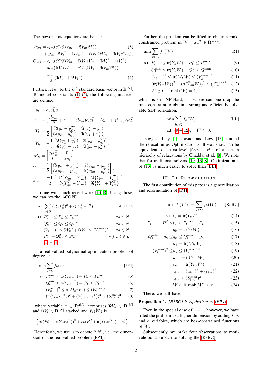The power-flow equations are hence:

$$
P_{lm} = b_{lm}(\Re V_l \Im V_m - \Re V_m \Im V_l)
$$
(3)  
+  $g_{lm}(\Re V_l^2 + \Im V_m^2 - \Im V_l, \Im V_m - \Re V_l \Re V_m)$ ,  

$$
Q_{lm} = b_{lm}(\Re V_l \Im V_m - \Im V_l \Im V_m - \Re V_l^2 - \Im V_l^2)
$$
+  
 $g_{lm}(\Re V_l \Im V_m - \Re V_m \Im V_l - \Re V_m \Im V_l)$   
 $-\frac{\bar{b}_{lm}}{2}(\Re V_l^2 + \Im V_l^2)$ . (4)

Further, let  $e_k$  be the  $k^{th}$  standard basis vector in  $\mathbb{R}^{|N|}$ . To model constraints (1)-(4), the following matrices are defined:

$$
y_k = e_k e_k^T y,
$$
  
\n
$$
y_{lm} = (j \frac{\bar{b}_{lm}}{2} + g_{lm} + jb_{lm})e_l e_l^T - (g_{lm} + jb_{lm})e_l e_m^T,
$$
  
\n
$$
Y_k = \frac{1}{2} \begin{bmatrix} \Re(y_k + y_k^T) & \Im(y_k^T - y_k) \\ \Im(y_k - y_k^T) & \Re(y_k + y_k^T) \end{bmatrix},
$$
  
\n
$$
\bar{Y}_k = -\frac{1}{2} \begin{bmatrix} \Im(y_k + y_k^T) & \Re(y_k - y_k^T) \\ \Re(y_k^T - y_k) & \Im(y_k + y_k^T) \end{bmatrix},
$$
  
\n
$$
M_k = \begin{bmatrix} e_k e_k^T & 0 \\ 0 & e_k e_k^T \end{bmatrix},
$$
  
\n
$$
Y_{lm} = \frac{1}{2} \begin{bmatrix} \Re(y_{lm} + y_{lm}^T) & \Im(y_{lm} - y_{lm}^T) \\ \Im(y_{lm} - y_{lm}^T) & \Re(y_{lm} + y_{lm}^T) \end{bmatrix},
$$
  
\n
$$
\bar{Y}_{lm} = \frac{-1}{2} \begin{bmatrix} \Re\{Y_{lm} + Y_{lm}^T\} & \Im\{Y_{lm} - Y_{lm}^T\} \\ \Im\{Y_{lm} - Y_{lm}\} & \Re\{Y_{lm} + Y_{lm}^T\} \end{bmatrix}.
$$

in line with much recent work [13, 8]. Using those, we can rewrite ACOPF:

$$
\min \sum_{k \in G} (c_k^2 (P_k^g)^2 + c_k^1 P_k^g + c_k^0)
$$
\n
$$
\text{s.t. } P_k^{\min} \le P_k^g \le P_k^{\max} \qquad \forall k \in N
$$
\n
$$
Q_k^{\min} \le Q_k^g \le Q_k^{\max} \qquad \forall k \in N
$$
\n
$$
(V_k^{\min})^2 \le \Re V_k^2 + \Im V_k^2 \le (V_k^{\max})^2 \qquad \forall k \in N
$$
\n
$$
P_{lm}^2 + Q_{lm}^2 \le S_{lm}^{\max} \qquad \forall (l, m) \in L
$$
\n
$$
(1) - (4)
$$
\n
$$
(1) - (4)
$$

as a real-valued polynomial optimization problem of degree 4:

$$
\min \sum_{k \in G} f_k(x) \tag{PP4}
$$

$$
\text{s.t. } P_k^{\min} \le \text{tr}(Y_k x x^T) + P_k^d \le P_k^{\max} \tag{5}
$$

$$
Q_k^{\min} \le \text{tr}(\bar{Y}_k x x^T) + Q_k^d \le Q_k^{\max} \tag{6}
$$

$$
(V_k^{\min})^2 \le \text{tr}(M_k x x^T) \le (V_k^{\max})^2 \tag{7}
$$

$$
(\text{tr}(Y_{lm}xx^T))^2 + (\text{tr}(\bar{Y}_{lm}xx^T))^2 \le (S_{lm}^{\text{max}})^2, \quad (8)
$$

where variable  $x \in \mathbb{R}^{2|N|}$  comprises  $\Re V_k \in \mathbb{R}^{|N|}$ and  $\Im V_k \in \mathbf{R}^{|N|}$  stacked and  $f_k(W)$  is

$$
\left(c_k^2(P_k^d + \text{tr}(Y_kxx^T))^2 + c_k^1(P_k^d + \text{tr}(Y_kxx^T)) + c_k^0\right).
$$

Henceforth, we use *n* to denote  $2|N|$ , i.e., the dimension of the real-valued problem [PP4].

Further, the problem can be lifted to obtain a rankconstrained problem in  $W = xx^T \in \mathbb{R}^{n \times n}$ :

$$
\min \sum_{k \in G} f_k(W) \tag{R1}
$$

$$
\text{s.t. } P_k^{\min} \le \text{tr}(Y_k W) + P_k^d \le P_k^{\max} \tag{9}
$$

$$
Q_k^{\min} \le \text{tr}(\bar{Y}_k W) + Q_k^d \le Q_k^{\max} \tag{10}
$$

$$
(V_k^{\min})^2 \le \text{tr}(M_k W) \le (V_k^{\max})^2 \tag{11}
$$

$$
(v_k) \le \mathfrak{u}(m_k w) \le (v_k) \tag{11}
$$
  

$$
(\text{tr}(Y_{lm} W))^2 + (\text{tr}(\bar{Y}_{lm} W))^2 \le (S_{lm}^{\text{max}})^2 \tag{12}
$$

$$
W \succeq 0, \quad \text{rank}(W) = 1,\tag{13}
$$

which is still NP-Hard, but where can one drop the rank constraint to obtain a strong and efficiently solvable SDP relaxation:

$$
\min \sum_{k \in G} f_k(W) \tag{LL}
$$

s.t. 
$$
(9-12)
$$
,  $W \ge 0$ ,

as suggested by [1]. Lavaei and Low [13] studied the relaxation as Optimization 3. It was shown to be equivalent to a first-level  $[OP_4 - H_1]$  of a certain hierarchy of relaxations by Ghaddar et al. [8]. We note that for traditional solvers [19, 13, 8], Optimization 4 of [13] is much easier to solve than [LL].

#### III. THE REFORMULATION

The first contribution of this paper is a generalisation and reformulation of [R1]:

$$
\min \ F(W) := \sum_{k \in G} f_k(W) \qquad \text{[RrBC]}
$$

$$
\text{s.t. } t_k = \text{tr}(Y_k W) \tag{14}
$$
\n
$$
\begin{aligned}\n\text{sin} - p d < t, < P^{\text{max}} - P^d\n\end{aligned} \tag{15}
$$

$$
P_k^{\min} - P_k^d \le t_k \le P_k^{\max} - P_k^d
$$
\n
$$
g_k = \text{tr}(\bar{Y}_k W)
$$
\n(15)

$$
Q_k^{\min} - g_k \leq g_k \leq Q_k^{\max} - g_k \tag{17}
$$

$$
h_k = \text{tr}(M_k W) \tag{18}
$$

$$
(V_k^{\min})^2 \le h_k \le (V_k^{\max})^2
$$
 (19)  

$$
u_k = tr(Y_k, W)
$$
 (20)

$$
u_{lm} = \mathbf{u}(I_{lm}W)
$$
 (20)

$$
v_{lm} = \text{tr}(\bar{Y}_{lm}W)
$$
 (21)  

$$
z_{lm} = (y_{lm})^2 + (y_{lm})^2
$$
 (22)

$$
z_{lm} = (u_{lm})^2 + (v_{lm})^2
$$
 (22)  

$$
z_{lm} \le (S_{lm}^{\max})^2
$$
 (23)

$$
W \succeq 0, \text{rank}(W) \le r. \tag{24}
$$

There, we still have:

#### Proposition 1. *[R1BC] is equivalent to [PP4].*

Even in the special case of  $r = 1$ , however, we have lifted the problem to a higher dimension by adding  $t, g$ , and  $h$  variables, which are box-constrained functions of W.

Subsequently, we make four observations to motivate our approach to solving the [RrBC]: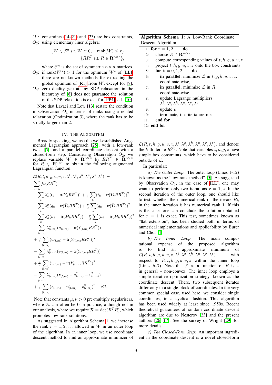$O_1$ : constraints (14–21) and (23) are box constraints,  $O_2$ : using elementary liner algebra:

$$
\{W \in \mathcal{S}^n \text{ s.t. } W \succeq 0, \quad \text{rank}(W) \le r\}
$$

$$
= \{RR^T \text{ s.t. } R \in \mathbf{R}^{n \times r}\},
$$

where  $S^n$  is the set of symmetric  $n \times n$  matrices.

- $O_3$ : if rank $(W^*) > 1$  for the optimum  $W^*$  of [LL], there are no known methods for extracting the global optimum of  $[RI]$  from W, except for  $[8]$ .
- $O_4$ : zero duality gap at any SDP relaxation in the hierarchy of [8] does not guarantee the solution of the SDP relaxation is exact for [PP4], c.f. [10].

Note that Lavaei and Low [13] restate the condition in Observation  $O_3$  in terms of ranks using a related relaxation (Optimization 3), where the rank has to be strictly larger than 2.

#### IV. THE ALGORITHM

Broadly speaking, we use the well-established Augmented Lagrangian approach [25], with a low-rank twist [5], and a parallel coordinate descent with a closed-form step. Considering Observation  $O_2$ , we replace variable  $W \in \mathbf{R}^{n \times n}$  by  $RR^T \in \mathbf{R}^{n \times n}$ for  $R \in \mathbb{R}^{n \times r}$  to obtain the following augmented Lagrangian function:

$$
\mathcal{L}(R, t, h, g, u, v, z, \lambda^{t}, \lambda^{g}, \lambda^{h}, \lambda^{u}, \lambda^{v}, \lambda^{z}) :=
$$
\n
$$
\sum_{k \in G} f_{k}(RR^{T})
$$
\n
$$
- \sum_{k} \lambda_{k}^{t}(t_{k} - tr(Y_{k}RR^{T})) + \frac{\mu}{2} \sum_{k} (t_{k} - tr(Y_{k}RR^{T}))^{2}
$$
\n
$$
- \sum_{k} \lambda_{k}^{g}(g_{k} - tr(\bar{Y}_{k}RR^{T})) + \frac{\mu}{2} \sum_{k} (g_{k} - tr(\bar{Y}_{k}RR^{T}))^{2}
$$
\n
$$
- \sum_{k} \lambda_{k}^{h}(h_{k} - tr(M_{k}RR^{T})) + \frac{\mu}{2} \sum_{k} (h_{k} - tr(M_{k}RR^{T}))^{2}
$$
\n
$$
- \sum_{k} \lambda_{(l,m)}^{u}(u_{(l,m)} - tr(Y_{(l,m)}RR^{T}))
$$
\n
$$
+ \frac{\mu}{2} \sum_{(l,m)} (u_{(l,m)} - tr(Y_{(l,m)}RR^{T}))^{2}
$$
\n
$$
- \sum_{(l,m)} \lambda_{(l,m)}^{v}(v_{(l,m)} - tr(\bar{Y}_{(l,m)}RR^{T}))^{2}
$$
\n
$$
+ \frac{\mu}{2} \sum_{(l,m)} (v_{(l,m)} - tr(\bar{Y}_{(l,m)}RR^{T}))^{2}
$$
\n
$$
- \sum_{(l,m)} \lambda_{(l,m)}^{z}(z_{(l,m)} - u_{(l,m)}^{2} - v_{(l,m)}^{2})
$$
\n
$$
+ \frac{\mu}{2} \sum_{(l,m)} (z_{(l,m)} - u_{(l,m)}^{2} - v_{(l,m)}^{2})^{2} + \nu \mathcal{R}.
$$

Note that constants  $\mu, \nu > 0$  pre-multiply regularisers, where  $R$  can often be 0 in practice, although not in our analysis, where we require  $\mathcal{R} = \det(R^T R)$ , which promotes low-rank solutions.

As suggested in Algorithm Schema 1, we increase the rank  $r = 1, 2, \ldots$  allowed in W in an outer loop of the algorithm. In an inner loop, we use coordinate descent method to find an approximate minimizer of

|                   |  |  | Algorithm Schema 1: A Low-Rank Coordinate |
|-------------------|--|--|-------------------------------------------|
| Descent Algorithm |  |  |                                           |

|     | 1: for $r = 1, 2, $ do                                             |
|-----|--------------------------------------------------------------------|
| 2:  | choose $R \in \mathbb{R}^{m \times r}$                             |
| 3:  | compute corresponding values of $t, h, g, u, v, z$                 |
| 4:  | project $t, h, g, u, v, z$ onto the box constraints                |
| 5:  | for $k = 0, 1, 2, \ldots$ do                                       |
| 6:  | in parallel, minimize $\mathcal L$ in $t, g, h, u, v, z$ ,         |
|     | coordinate-wise.                                                   |
| 7:  | in parallel, minimize $\mathcal L$ in $R$ ,                        |
|     | coordinate-wise                                                    |
| 8:  | update Lagrange multipliers                                        |
|     | $\lambda^t, \lambda^g, \lambda^h, \lambda^u, \lambda^v, \lambda^z$ |
| 9:  | update $\mu$                                                       |
| 10: | terminate, if criteria are met                                     |
| 11: | end for                                                            |
|     | $12:$ end for                                                      |

 $\mathcal{L}(R, t, h, g, u, v, z, \lambda^t, \lambda^g, \lambda^h, \lambda^u, \lambda^v, \lambda^z)$ , and denote the k-th iterate  $R^{(k)}$ . Note that variables  $t, h, g, z$  have simple box constraints, which have to be considered outside of  $\mathcal{L}$ .

In particular:

*a) The Outer Loop:* The outer loop (Lines 1-12) is known as the "low-rank method" [5]. As suggested by Observation  $O_3$ , in the case of [LL], one may want to perform only two iterations  $r = 1, 2$ . In the second iteration of the outer loop, one should like to test, whether the numerical rank of the iterate  $R_k$ in the inner iteration  $k$  has numerical rank 1. If this is the case, one can conclude the solution obtained for  $r = 1$  is exact. This test, sometimes known as "flat extension", has been studied both in terms of numerical implementations and applicability by Burer and Choi [4].

*b) The Inner Loop:* The main computational expense of the proposed algorithm is to find an approximate minimum of  $\mathcal{L}(R,t,h,g,u,v,z,\lambda^t,\lambda^g,\lambda^h,\lambda^u,\lambda^v,\lambda^z)$ ) with respect to  $R, t, h, g, u, v, z$  within the inner loop (Lines 6–7). Note that  $\mathcal L$  as a function of R is – in general – non-convex. The inner loop employs a simple iterative optimization strategy, known as the coordinate descent. There, two subsequent iterates differ only in a single block of coordinates. In the very common special case, used here, we consider single coordinates, in a cyclical fashion. This algorithm has been used widely at least since 1950s. Recent theoretical guarantees of random coordinate descent algorithm are due to Nesterov [23] and the present authors [26, 17]. See the survey of Wright [29] for more details.

*c) The Closed-Form Step:* An important ingredient in the coordinate descent is a novel closed-form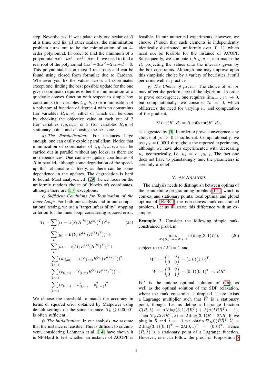step. Nevertheless, if we update only one scalar of R at a time, and fix all other scalars, the minimisation problem turns out to be the minimisation of an 4 order polynomial. In order to find the minimum of a polynomial  $ax^4+bx^3+cx^2+dx+0$ , we need to find a real root of the polynomial  $4ax^3+3bx^2+2cx+d=0$ . This polynomial has at most 3 real roots and can be found using closed form formulae due to Cardano. Whenever you fix the values across all coordinates except one, finding the best possible update for the one given coordinate requires either the minimisation of a quadratic convex function with respect to simple box constraints (for variables  $t, g, h, z$ ) or minimisation of a polynomial function of degree 4 with no constraints (for variables  $R, u, v$ ), either of which can be done by checking the objective value at each out of 2 (for variables  $t, g, h, z$ ) or 3 (for variables  $R, u, v$ ) stationary points and choosing the best one.

*d) The Parallelisation:* For instances large enough, one can easily exploit parallelism. Notice that minimization of coordinates of  $t, g, h, u, v, z$  can be carried out in parallel without any locks, as there are no dependences. One can also update coordinates of  $R$  in parallel, although some degradation of the speedup thus obtainable is likely, as there can be some dependence in the updates. The degradation is hard to bound. Most analyses, c.f. [29], hence focus on the uniformly random choice of (blocks of) coordinates, although there are [17] exceptions.

*e) Sufficient Conditions for Termination of the Inner Loop:* For both our analysis and in our computational testing, we use a "target infeasibility" stopping criterion for the inner loop, considering squared error:

$$
T_k = \sum_{k} (t_k - \text{tr}(Y_k R^{(k)} (R^{(k)})^T))^2 +
$$
\n
$$
\sum_{k} (g_k - \text{tr}(\bar{Y}_k R^{(k)} (R^{(k)})^T))^2 +
$$
\n
$$
\sum_{k} (h_k - \text{tr}(M_k R^{(k)} (R^{(k)})^T))^2 +
$$
\n
$$
\sum_{(l,m)} (u_{(l,m)} - \text{tr}(Y_{(l,m)} R^{(k)} (R^{(k)})^T))^2 +
$$
\n
$$
\sum_{(l,m)} (v_{(l,m)} - \bar{Y}_{(l,m)} R^{(k)} (R^{(k)})^T))^2 +
$$
\n
$$
\sum_{(l,m)} (z_{(l,m)} - u_{(l,m)}^2 - v_{(l,m)}^2)^2.
$$
\n(2.7)

We choose the threshold to match the accuracy in terms of squared error obtained by Matpower using default settings on the same instance.  $T_k \leq 0.00001$ is often sufficient.

*f) The Initialisation:* In our analysis, we assume that the instance is feasible. This is difficult to circumvent, considering Lehmann et al. [14] have shown it is NP-Hard to test whether an instance of ACOPF is

feasible. In our numerical experiments, however, we choose  $R$  such that each elements is independently identically distributed, uniformly over [0, 1], which need not be feasible for the instance of ACOPF. Subsequently, we compute  $t, h, q, u, v, z$  to match the R, projecting the values onto the intervals given by the box-constraints. Although one may improve upon this simplistic choice by a variety of heuristics, it still performs well in practice.

*g)* The Choice of  $\mu_k$ ,  $\nu_k$ : The choice of  $\mu_k$ ,  $\nu_k$ may affect the performance of the algorithm. In order to prove convergence, one requires  $\lim_{k\to\infty} \nu_k \to 0$ , but computationally, we consider  $\mathcal{R} = 0$ , which obliterates the need for varying  $\nu_k$  and computation of the gradient,

$$
\nabla \det(R^T R) = R \operatorname{cofactor}(R^T R),
$$

as suggested by [5]. In order to prove convergence, any choice of  $\mu_k > 0$  is sufficient. Computationally, we use  $\mu_k = 0.0001$  throughout the reported experiments, although we have alos experimented with decreasing  $\mu_k$  geometrically, i.e.  $\mu_k = c \cdot \mu_{k-1}$ , The fact one does not have to painstakingly tune the parameters is certainly a relief.

#### V. AN ANALYSIS

The analysis needs to distinguish between optima of the semidefinite programming problem [LL], which is convex, and stationary points, local optima, and global optima of [RrBC], the non-convex rank-constrained problem. Let us illustrate this difference with an example:

Example 2. Consider the following simple rankconstrained problem:

$$
\max_{W \in \mathcal{S}_+^2, \text{rank}(W) = 1} \text{tr}(\text{diag}(3, 1)W),\tag{26}
$$

subject to  $tr(IW) = 1$  and

$$
W^* := \begin{pmatrix} 1 & 0 \\ 0 & 0 \end{pmatrix} = (1,0)(1,0)^T,
$$
  

$$
\tilde{W} := \begin{pmatrix} 0 & 0 \\ 0 & 1 \end{pmatrix} = (0,1)(0,1)^T =: \tilde{R}\tilde{R}^T.
$$

W<sup>∗</sup> is the unique optimal solution of (26), as well as the optimal solution of the SDP relaxation, where the rank constraint is dropped. There exists a Lagrange multiplier such that  $\tilde{W}$  is a stationary point, though. Let us define a Lagrange function  $\mathcal{L}(R,\lambda) = \text{tr}(\text{diag}(3,1)RR^T) + \lambda(\text{tr}(IRR^T) - 1).$ Then  $\nabla_R \mathcal{L}(RR^T, \lambda) = 2 \text{ diag}(3, 1)R + 2\lambda R$ . If we plug in  $\tilde{R}$  and  $\tilde{\lambda} = -1$  we obtain  $\nabla_R \mathcal{L}(\tilde{R}\tilde{R}^T, \tilde{\lambda}) =$  $2 \operatorname{diag}(3,1)(0,1)^T + 2 \tilde{\lambda}(0,1)^T = (0,0)^T$ . Hence  $(R, \lambda)$  is a stationary point of a Lagrange function. However, one can follow the proof of Proposition 5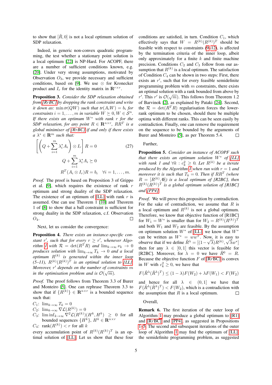to show that  $[\hat{R}, 0]$  is not a local optimum solution of SDP relaxation.

Indeed, in generic non-convex quadratic programming, the test whether a stationary point solution is a local optimum [22] is NP-Hard. For ACOPF, there are a number of sufficient conditions known, e.g. [20]. Under very strong assumptions, motivated by Observation  $O_3$ , we provide necessary and sufficient conditions, based on [9]. We use  $\otimes$  for Kronecker product and  $I_r$  for the identity matrix in  $\mathbf{R}^{r \times r}$ .

Proposition 3. *Consider the SDP relaxation obtained from [R*r*BC] by dropping the rank constraint and write it down as:*  $\min tr(QW)$  *such that*  $tr(A_iW) = b_i$  *for constraints*  $i = 1, \ldots, m$  *in variable*  $W \succeq 0, W \in S^n$ . *If there exists an optimum* W<sup>∗</sup> *with rank* r *for the SDP relaxation, for any point*  $R \in \mathbb{R}^{n \times r}$ *,*  $RR^T$  *is a global minimiser of [R*r*BC] if and only if there exists*  $a \lambda^* \in \mathbf{R}^m$  *such that:* 

$$
\left[ \left( Q + \sum_{i=1}^{m} \lambda_i^* A_i \right) \otimes I_r \right] R = 0 \qquad (27)
$$

$$
Q + \sum_{i=1}^{m} \lambda_i^* A_i \succeq 0
$$

$$
R^T (A_i \otimes I_r) R = b_i \quad \forall i = 1, ..., m.
$$

*Proof.* The proof is based on Proposition 3 of Grippo et al. [9], which requires the existence of rank  $r$ optimum and strong duality of the SDP relaxation. The existence of an optimum of [LL] with rank  $r$  is assumed. One can use Theorem 1 [10] and Theorem 1 of [8] to show that a ball constraint is sufficient for strong duality in the SDP relaxation, c.f. Observation  $O_4$ .  $\Box$ 

Next, let us consider the convergence:

Proposition 4. *There exists an instance-specific constant*  $r'$ , such that for every  $r \geq r'$ , whenever Algo*rithm 1* with  $\mathcal{R} = \det(R^T R)$  *and*  $\lim_{k \to \infty} \nu_k \to 0$ *produces solution with*  $\lim_{k\to\infty} T_k \to 0$  *and a local*  $\mathit{optimum}$   $R^{(k)}$  is generated within the inner loop  $(5-11)$ ,  $R^{(k)}(R^{(k)})^T$  is an optimal solution to [LL]. *Moreover, r' depends on the number of constraints m in the optimisation problem and is*  $\mathcal{O}(\sqrt{m})$ *.* 

*Proof.* The proof follows from Theorem 3.3 of Burer and Monteiro [5]. One can rephrase Theorem 3.3 to show that if  $\{R^{(k)}\} \in \mathbb{R}^{n \times r}$  is a bounded sequence such that:

 $C_1$ :  $\lim_{k\to\infty} T_k = 0$ 

 $C_2$ :  $\lim_{k\to\infty} \nabla \mathcal{L}(R^{(k)}) = 0$ 

 $C_3$ :  $\liminf_{k\to\infty} \nabla^2 \mathcal{L}(R^{(k)})(H^k, H^k) \geq 0$  for all bounded sequences  $\{H^k\}, H^k \in \mathbb{R}^{n \times r}$ 

 $C_4$ : rank $(R^{(k)}) < r$  for all k

every accumulation point of  $R^{(k)}(R^{(k)})^T$  is an optimal solution of [LL]. Let us show that these four conditions are satisfied, in turn. Condition  $C_1$ , which effectively says that  $W = R^{(k)}(R^{(k)})^T$  should be feasible with respect to constraints (9–12), is affected by the termination criteria of the inner loop, albeit only approximately for a finite  $k$  and finite machine precision. Conditions  $C_2$  and  $C_3$  follow from our assumption that  $R^{(k)}$  is a local optimum. The satisfaction of Condition  $C_4$  can be shown in two steps: First, there exists an  $r'$ , such that for every feasible semidefinite programming problem with  $m$  constraints, there exists an optimal solution with a rank bounded from above by  $\sqrt{\pi}$  :  $\sqrt{(\pi)}$   $\sqrt{\pi}$ r'. This r' is  $\mathcal{O}(\sqrt{m})$ . This follows from Theorem 1.2 of Barvinok [2], as explained by Pataki [24]. Second, the  $\mathcal{R} = \det(R^T R)$  regularisation forces the lowerrank optimum to be chosen, should there be multiple optima with different ranks. This can be seen easily by contradiction. Finally, one can remove the requirement on the sequence to be bounded by the arguments of Burer and Monteiro [5], as per Theorem 5.4.  $\Box$ 

#### Further,

Proposition 5. *Consider an instance of ACOPF such that there exists an optimum solution* W<sup>∗</sup> *of [LL] with rank 1 and*  $\forall k : c_k^2 \geq 0$ . Let  $R^{(k)}$  be a iterate *produced by the Algorithm 1 when run with*  $r = 1$  *and moreover it is such that*  $T_k = 0$ . Then if  $RR^T$  (where  $R = [R^{(k)}, 0]$ *)* is a local optimum of [R2BC], then  $R^{(k)}(R^{(k)})^T$  is a global optimum solution of [R1BC] *and [PP4].*

*Proof.* We will prove this proposition by contradiction. For the sake of contradiction, we assume that  $R$  is a local optimum and  $R^{(k)}$  is not a global optimum. Therefore, we know that objective function of [R1BC] for  $W_1 = W^*$  is smaller than for  $W_2 = R^{(k)} (R^{(k)})^T$ and both  $W_1$  and  $W_2$  are feasible. By the assumption on optimum solution  $W^*$  of [LL], we know that  $W^*$ can be written as  $W^* = ww^T$ . Now, it is easy to observe that if we define  $\tilde{R}^{\lambda} = [(1 - \sqrt{\lambda})R^{(k)}, \sqrt{\lambda}w^*]$ then for any  $\lambda \in [0, 1]$  this vector is feasible for [R2BC]. Moreover, for  $\lambda = 0$  we have  $\tilde{R}^0 = R$ . Because the objective function  $F$  of  $[RrBC]$  is convex in W with  $c_k^2 \geq 0$ , we have that

$$
F(\tilde{R}^{\lambda}(\tilde{R}^{\lambda})^T) \le (1 - \lambda)F(W_2) + \lambda F(W_1) < F(W_2)
$$

and hence for all  $\lambda \in (0, 1]$  we have that  $F(\tilde{R}^{\lambda}(\tilde{R}^{\lambda})^T) < F(W_2)$ , which is a contradiction with the assumption that  $R$  is a local optimum.  $\Box$ 

Overall,

Remark 6. The first iteration of the outer loop of Algorithm 1 may produce a global optimum to [R1] and [RrBC] and [PP4], as suggested in Propositions 1–5. The second and subsequent iterations of the outer loop of Algorithm 1 may find the optimum of [LL], the semidefinite programming problem, as suggested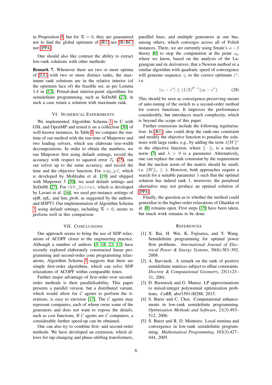in Proposition 4, but for  $\mathcal{R} = 0$ , they are guaranteed not to find the global optimum of [R1] nor [RrBC] nor [PP4].

One should also like contrast the ability to extract low-rank solutions with other methods:

Remark 7. Whenever there are two or more optima of [LL] with two or more distinct ranks, the maximum rank solutions are in the relative interior (of the optimum face of) the feasible set, as per Lemma 1.4 in [12]. Primal-dual interior-point algorithms for semidefinite programming, such as SeDuMi [27], in such a case return a solution with maximum rank.

#### VI. NUMERICAL EXPERIMENTS

We implemented Algorithm Schema 1 in C with GSL and OpenMP and tested it on a collection [30] of well-known instances. In Table I, we compare the runtime of our method with the run-time of Matpower and two leading solvers, which use elaborate tree-width decompositions. In order to obtain the numbers, we ran Matpower first using default settings, record the accuracy with respect to squared error  $T_k$  (25), ran our solver up to the same accuracy, and record the time and the objective function. For sdp\_pf, which is developed by Mohlzahn et al. [19] and shipped with Matpower 5 [30], we used default settings and SeDuMi [27]. For OPF Solver, which is developed by Lavaei et al. [16], we used per-instance settings of epB, epL, and line\_prob, as suggested by the authors, and SDPT3. Our implementation of Algorithm Schema 1, using default settings, including  $\mathcal{R} = 0$ , seems to perform well in this comparison.

#### VII. CONCLUSIONS

Our approach seems to bring the use of SDP relaxations of ACOPF closer to the engineering practice. Although a number of authors [3, 18, 21, 11] have recently explored elaborately constructed linear programming and second-order cone programming relaxations, Algorithm Schema 1 suggests that there are simple first-order algorithms, which can solve SDP relaxations of ACOPF within comparable times.

Further major advantage of first-order over secondorder methods is their parallelisability. This paper presents a parallel version, but a distributed variant, which would allow for  $C$  agents to perform the iterations, is easy to envision [17]. The  $C$  agents may represent companies, each of whom owns some of the generators and does not want to expose the details, such as cost functions. If  $\mathcal C$  agents are  $\mathcal C$  computers, a considerable further speed-up can be obtained.

One can also try to combine first- and second-order methods. We have developed an extension, which allows for tap-changing and phase-shifting transformers, paralllel lines, and multiple generators at one bus, among others, which converges across all of Polish instances. There, we are currently using Smale's  $\alpha - \beta$ theory [6] to stop the computation at the point  $z_0$ , where we know, based on the analysis of the Lagrangian and its derivatives, that a Newton method or a similar algorithm with quadratic speed of convergence will generate sequence  $z_i$  to the correct optimum  $z^*$ , i.e.

$$
|z_i - z^*| \le (1/2)^{2^i - i} (z_0 - z^*).
$$
 (28)

This should be seen as convergence-preserving means of auto-tuning of the switch to a second-order method for convex functions. It improves the performance considerably, but introduces much complexity, which is beyond the scope of this paper.

Further extensions include the following regularisation: In [R1], one could drop the rank-one constraint and modify the objective function to penalise the solutions with large ranks, e.g., by adding the term  $\lambda ||W||^*$ to the objective function, where  $\|\cdot\|_*$  is a nuclear norm [7] and  $\lambda > 0$  is a parameter. Alternatively, one can replace the rank constraint by the requirement that the nuclear norm of the matrix should be small, i.e.  $||W||_* \leq \lambda$ . However, both approaches require a search for a suitable parameter  $\lambda$  such that the optimal solution has indeed rank 1, moreover, the penalised alternative may not produce an optimal solution of [PP4].

Finally, the question as to whether the method could generalise to the higher-order relaxations of Ghaddar et al. [8] remains open. First steps [15] have been taken, but much work remains to be done.

#### **REFERENCES**

- [1] X. Bai, H. Wei, K. Fujisawa, and Y. Wang. Semidefinite programming for optimal power flow problems. *International Journal of Electrical Power & Energy Systems*, 30(6):383–392, 2008.
- [2] A. Barvinok. A remark on the rank of positive semidefinite matrices subject to affine constraints. *Discrete & Computational Geometry*, 25(1):23– 31, 2001.
- [3] D. Bienstock and G. Munoz. LP approximations to mixed-integer polynomial optimization problems. *CoRR*, abs/1501.00288, 2015.
- [4] S. Burer and C. Choi. Computational enhancements in low-rank semidefinite programming. *Optimisation Methods and Software*, 21(3):493– 512, 2006.
- [5] S. Burer and R. D. Monteiro. Local minima and convergence in low-rank semidefinite programming. *Mathematical Programming*, 103(3):427– 444, 2005.